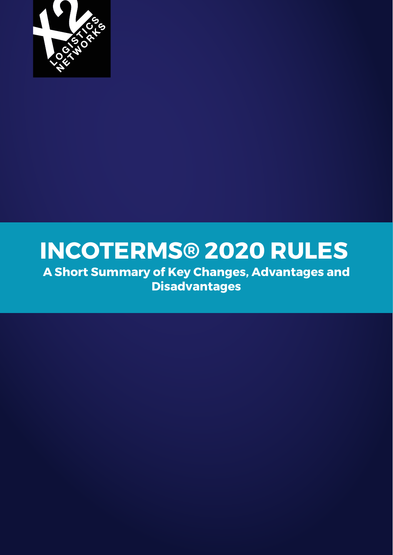

# **INCOTERMS® 2020 RULES**

**A Short Summary of Key Changes, Advantages and Disadvantages**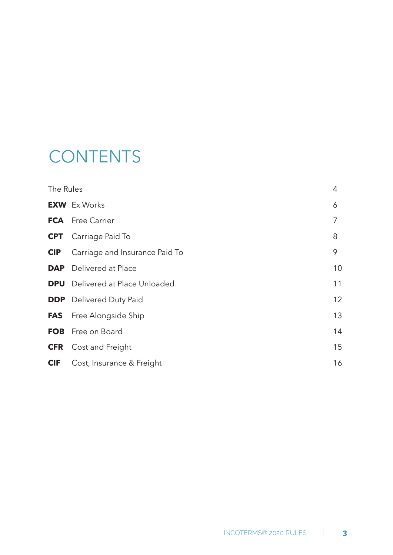## **CONTENTS**

| The Rules  |                                | 4  |
|------------|--------------------------------|----|
|            | <b>EXW</b> Ex Works            | 6  |
|            | <b>FCA</b> Free Carrier        | 7  |
|            | <b>CPT</b> Carriage Paid To    | 8  |
| <b>CIP</b> | Carriage and Insurance Paid To | 9  |
| <b>DAP</b> | Delivered at Place             | 10 |
| <b>DPU</b> | Delivered at Place Unloaded    | 11 |
|            | <b>DDP</b> Delivered Duty Paid | 12 |
| <b>FAS</b> | Free Alongside Ship            | 13 |
| <b>FOB</b> | Free on Board                  | 14 |
| <b>CFR</b> | Cost and Freight               | 15 |
| <b>CIF</b> | Cost, Insurance & Freight      | 16 |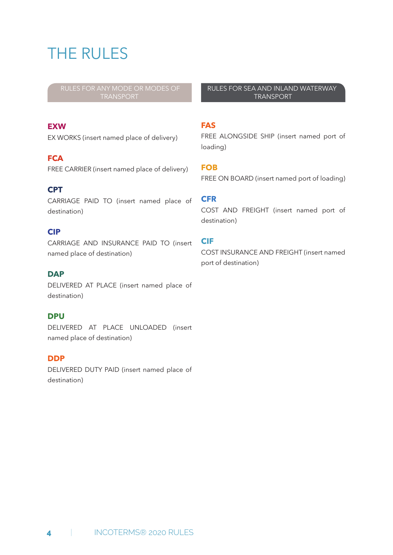## THE RULES

#### **EXW**

EX WORKS (insert named place of delivery)

#### **FCA**

FREE CARRIER (insert named place of delivery)

#### **CPT**

CARRIAGE PAID TO (insert named place of destination)

#### **CIP**

CARRIAGE AND INSURANCE PAID TO (insert named place of destination)

#### **DAP**

DELIVERED AT PLACE (insert named place of destination)

#### **DPU**

DELIVERED AT PLACE UNLOADED (insert named place of destination)

#### **DDP**

DELIVERED DUTY PAID (insert named place of destination)

RULES FOR SEA AND INLAND WATERWAY TRANSPORT

#### **FAS**

FREE ALONGSIDE SHIP (insert named port of loading)

#### **FOB**

FREE ON BOARD (insert named port of loading)

#### **CFR**

COST AND FREIGHT (insert named port of destination)

#### **CIF**

COST INSURANCE AND FREIGHT (insert named port of destination)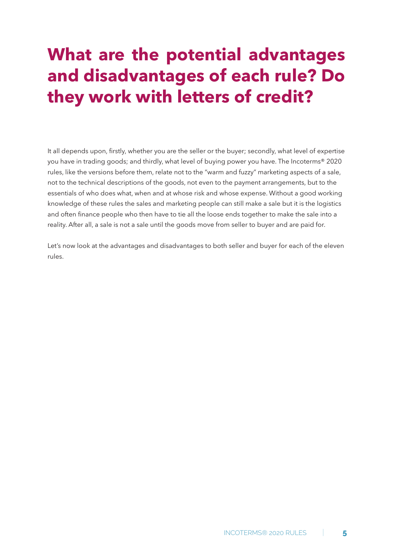## **What are the potential advantages and disadvantages of each rule? Do they work with letters of credit?**

It all depends upon, firstly, whether you are the seller or the buyer; secondly, what level of expertise you have in trading goods; and thirdly, what level of buying power you have. The Incoterms® 2020 rules, like the versions before them, relate not to the "warm and fuzzy" marketing aspects of a sale, not to the technical descriptions of the goods, not even to the payment arrangements, but to the essentials of who does what, when and at whose risk and whose expense. Without a good working knowledge of these rules the sales and marketing people can still make a sale but it is the logistics and often finance people who then have to tie all the loose ends together to make the sale into a reality. After all, a sale is not a sale until the goods move from seller to buyer and are paid for.

Let's now look at the advantages and disadvantages to both seller and buyer for each of the eleven rules.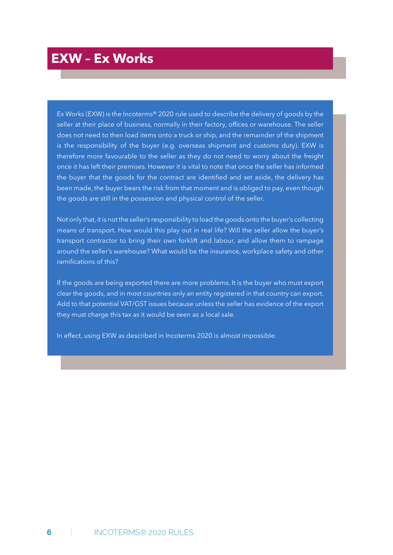### **EXW – Ex Works**

Ex Works (EXW) is the Incoterms® 2020 rule used to describe the delivery of goods by the seller at their place of business, normally in their factory, offices or warehouse. The seller does not need to then load items onto a truck or ship, and the remainder of the shipment is the responsibility of the buyer (e.g. overseas shipment and customs duty). EXW is therefore more favourable to the seller as they do not need to worry about the freight once it has left their premises. However it is vital to note that once the seller has informed the buyer that the goods for the contract are identified and set aside, the delivery has been made, the buyer bears the risk from that moment and is obliged to pay, even though the goods are still in the possession and physical control of the seller.

Not only that, it is not the seller's responsibility to load the goods onto the buyer's collecting means of transport. How would this play out in real life? Will the seller allow the buyer's transport contractor to bring their own forklift and labour, and allow them to rampage around the seller's warehouse? What would be the insurance, workplace safety and other ramifications of this?

If the goods are being exported there are more problems. It is the buyer who must export clear the goods, and in most countries only an entity registered in that country can export. Add to that potential VAT/GST issues because unless the seller has evidence of the export they must charge this tax as it would be seen as a local sale.

In effect, using EXW as described in Incoterms 2020 is almost impossible.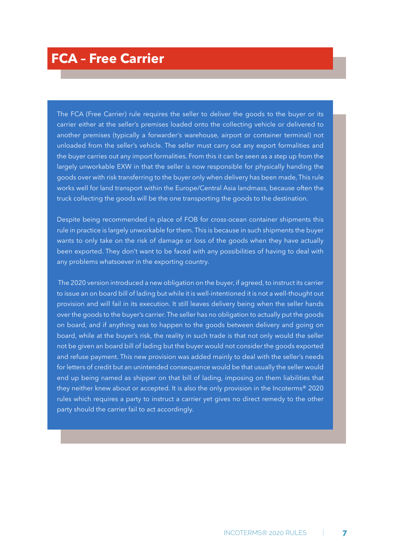The FCA (Free Carrier) rule requires the seller to deliver the goods to the buyer or its carrier either at the seller's premises loaded onto the collecting vehicle or delivered to another premises (typically a forwarder's warehouse, airport or container terminal) not unloaded from the seller's vehicle. The seller must carry out any export formalities and the buyer carries out any import formalities. From this it can be seen as a step up from the largely unworkable EXW in that the seller is now responsible for physically handing the goods over with risk transferring to the buyer only when delivery has been made, This rule works well for land transport within the Europe/Central Asia landmass, because often the truck collecting the goods will be the one transporting the goods to the destination.

Despite being recommended in place of FOB for cross-ocean container shipments this rule in practice is largely unworkable for them. This is because in such shipments the buyer wants to only take on the risk of damage or loss of the goods when they have actually been exported. They don't want to be faced with any possibilities of having to deal with any problems whatsoever in the exporting country.

 The 2020 version introduced a new obligation on the buyer, if agreed, to instruct its carrier to issue an on board bill of lading but while it is well-intentioned it is not a well-thought out provision and will fail in its execution. It still leaves delivery being when the seller hands over the goods to the buyer's carrier. The seller has no obligation to actually put the goods on board, and if anything was to happen to the goods between delivery and going on board, while at the buyer's risk, the reality in such trade is that not only would the seller not be given an board bill of lading but the buyer would not consider the goods exported and refuse payment. This new provision was added mainly to deal with the seller's needs for letters of credit but an unintended consequence would be that usually the seller would end up being named as shipper on that bill of lading, imposing on them liabilities that they neither knew about or accepted. It is also the only provision in the Incoterms® 2020 rules which requires a party to instruct a carrier yet gives no direct remedy to the other party should the carrier fail to act accordingly.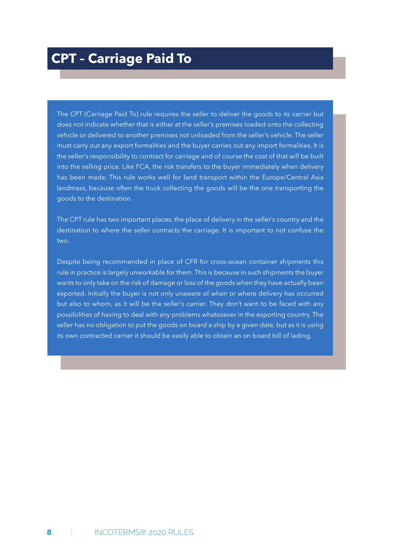The CPT (Carriage Paid To) rule requires the seller to deliver the goods to its carrier but does not indicate whether that is either at the seller's premises loaded onto the collecting vehicle or delivered to another premises not unloaded from the seller's vehicle. The seller must carry out any export formalities and the buyer carries out any import formalities. It is the seller's responsibility to contract for carriage and of course the cost of that will be built into the selling price. Like FCA, the risk transfers to the buyer immediately when delivery has been made, This rule works well for land transport within the Europe/Central Asia landmass, because often the truck collecting the goods will be the one transporting the goods to the destination.

The CPT rule has two important places, the place of delivery in the seller's country and the destination to where the seller contracts the carriage. It is important to not confuse the two.

Despite being recommended in place of CFR for cross-ocean container shipments this rule in practice is largely unworkable for them. This is because in such shipments the buyer wants to only take on the risk of damage or loss of the goods when they have actually been exported. Initially the buyer is not only unaware of when or where delivery has occurred but also to whom, as it will be the seller's carrier. They don't want to be faced with any possibilities of having to deal with any problems whatsoever in the exporting country. The seller has no obligation to put the goods on board a ship by a given date, but as it is using its own contracted carrier it should be easily able to obtain an on board bill of lading.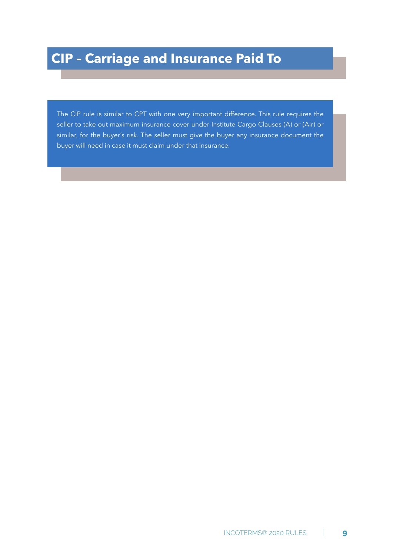The CIP rule is similar to CPT with one very important difference. This rule requires the seller to take out maximum insurance cover under Institute Cargo Clauses (A) or (Air) or similar, for the buyer's risk. The seller must give the buyer any insurance document the buyer will need in case it must claim under that insurance.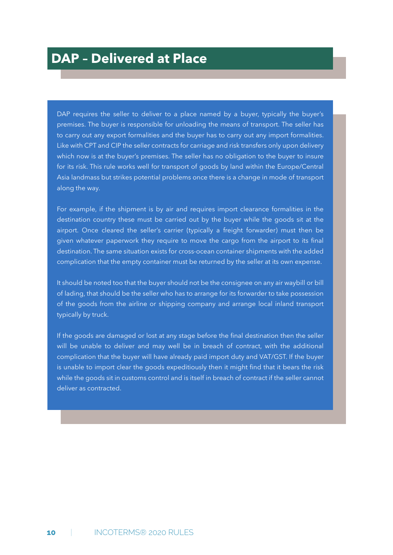DAP requires the seller to deliver to a place named by a buyer, typically the buyer's premises. The buyer is responsible for unloading the means of transport. The seller has to carry out any export formalities and the buyer has to carry out any import formalities. Like with CPT and CIP the seller contracts for carriage and risk transfers only upon delivery which now is at the buyer's premises. The seller has no obligation to the buyer to insure for its risk. This rule works well for transport of goods by land within the Europe/Central Asia landmass but strikes potential problems once there is a change in mode of transport along the way.

For example, if the shipment is by air and requires import clearance formalities in the destination country these must be carried out by the buyer while the goods sit at the airport. Once cleared the seller's carrier (typically a freight forwarder) must then be given whatever paperwork they require to move the cargo from the airport to its final destination. The same situation exists for cross-ocean container shipments with the added complication that the empty container must be returned by the seller at its own expense.

It should be noted too that the buyer should not be the consignee on any air waybill or bill of lading, that should be the seller who has to arrange for its forwarder to take possession of the goods from the airline or shipping company and arrange local inland transport typically by truck.

If the goods are damaged or lost at any stage before the final destination then the seller will be unable to deliver and may well be in breach of contract, with the additional complication that the buyer will have already paid import duty and VAT/GST. If the buyer is unable to import clear the goods expeditiously then it might find that it bears the risk while the goods sit in customs control and is itself in breach of contract if the seller cannot deliver as contracted.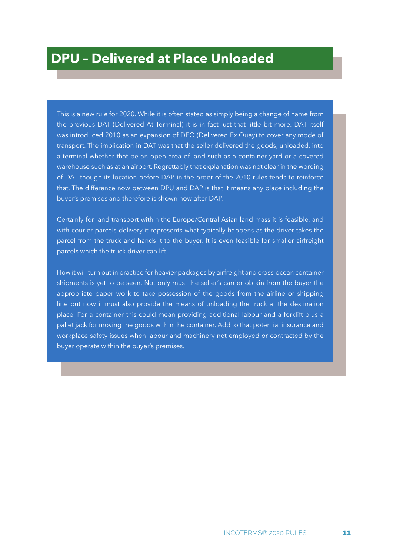This is a new rule for 2020. While it is often stated as simply being a change of name from the previous DAT (Delivered At Terminal) it is in fact just that little bit more. DAT itself was introduced 2010 as an expansion of DEQ (Delivered Ex Quay) to cover any mode of transport. The implication in DAT was that the seller delivered the goods, unloaded, into a terminal whether that be an open area of land such as a container yard or a covered warehouse such as at an airport. Regrettably that explanation was not clear in the wording of DAT though its location before DAP in the order of the 2010 rules tends to reinforce that. The difference now between DPU and DAP is that it means any place including the buyer's premises and therefore is shown now after DAP.

Certainly for land transport within the Europe/Central Asian land mass it is feasible, and with courier parcels delivery it represents what typically happens as the driver takes the parcel from the truck and hands it to the buyer. It is even feasible for smaller airfreight parcels which the truck driver can lift.

How it will turn out in practice for heavier packages by airfreight and cross-ocean container shipments is yet to be seen. Not only must the seller's carrier obtain from the buyer the appropriate paper work to take possession of the goods from the airline or shipping line but now it must also provide the means of unloading the truck at the destination place. For a container this could mean providing additional labour and a forklift plus a pallet jack for moving the goods within the container. Add to that potential insurance and workplace safety issues when labour and machinery not employed or contracted by the buyer operate within the buyer's premises.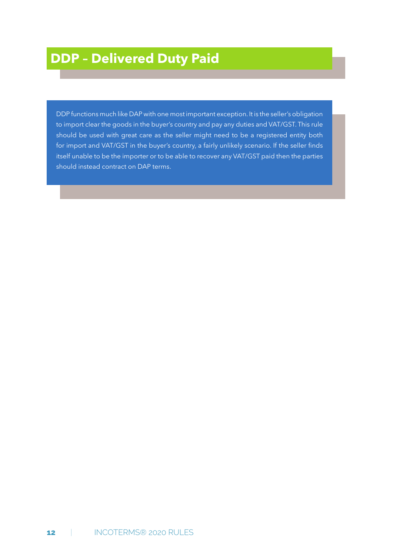DDP functions much like DAP with one most important exception. It is the seller's obligation to import clear the goods in the buyer's country and pay any duties and VAT/GST. This rule should be used with great care as the seller might need to be a registered entity both for import and VAT/GST in the buyer's country, a fairly unlikely scenario. If the seller finds itself unable to be the importer or to be able to recover any VAT/GST paid then the parties should instead contract on DAP terms.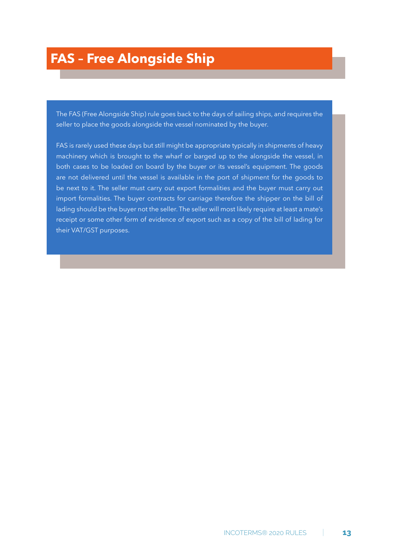## **FAS – Free Alongside Ship**

The FAS (Free Alongside Ship) rule goes back to the days of sailing ships, and requires the seller to place the goods alongside the vessel nominated by the buyer.

FAS is rarely used these days but still might be appropriate typically in shipments of heavy machinery which is brought to the wharf or barged up to the alongside the vessel, in both cases to be loaded on board by the buyer or its vessel's equipment. The goods are not delivered until the vessel is available in the port of shipment for the goods to be next to it. The seller must carry out export formalities and the buyer must carry out import formalities. The buyer contracts for carriage therefore the shipper on the bill of lading should be the buyer not the seller. The seller will most likely require at least a mate's receipt or some other form of evidence of export such as a copy of the bill of lading for their VAT/GST purposes.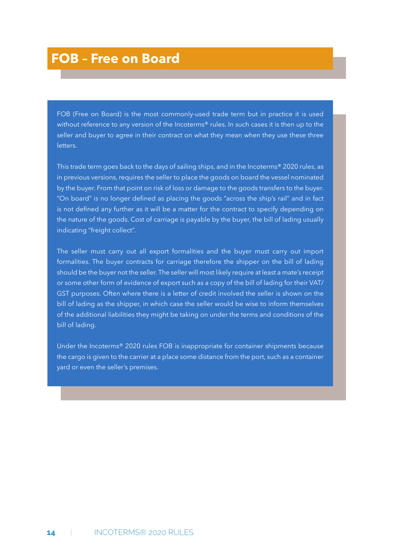### **FOB – Free on Board**

FOB (Free on Board) is the most commonly-used trade term but in practice it is used without reference to any version of the Incoterms® rules. In such cases it is then up to the seller and buyer to agree in their contract on what they mean when they use these three letters.

This trade term goes back to the days of sailing ships, and in the Incoterms® 2020 rules, as in previous versions, requires the seller to place the goods on board the vessel nominated by the buyer. From that point on risk of loss or damage to the goods transfers to the buyer. "On board" is no longer defined as placing the goods "across the ship's rail" and in fact is not defined any further as it will be a matter for the contract to specify depending on the nature of the goods. Cost of carriage is payable by the buyer, the bill of lading usually indicating "freight collect".

The seller must carry out all export formalities and the buyer must carry out import formalities. The buyer contracts for carriage therefore the shipper on the bill of lading should be the buyer not the seller. The seller will most likely require at least a mate's receipt or some other form of evidence of export such as a copy of the bill of lading for their VAT/ GST purposes. Often where there is a letter of credit involved the seller is shown on the bill of lading as the shipper, in which case the seller would be wise to inform themselves of the additional liabilities they might be taking on under the terms and conditions of the bill of lading.

Under the Incoterms® 2020 rules FOB is inappropriate for container shipments because the cargo is given to the carrier at a place some distance from the port, such as a container yard or even the seller's premises.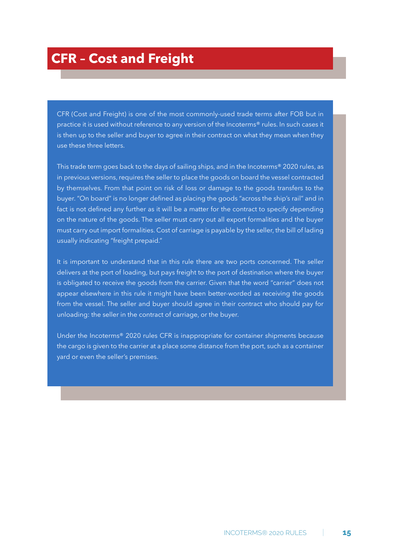## **CFR – Cost and Freight**

CFR (Cost and Freight) is one of the most commonly-used trade terms after FOB but in practice it is used without reference to any version of the Incoterms® rules. In such cases it is then up to the seller and buyer to agree in their contract on what they mean when they use these three letters.

This trade term goes back to the days of sailing ships, and in the Incoterms® 2020 rules, as in previous versions, requires the seller to place the goods on board the vessel contracted by themselves. From that point on risk of loss or damage to the goods transfers to the buyer. "On board" is no longer defined as placing the goods "across the ship's rail" and in fact is not defined any further as it will be a matter for the contract to specify depending on the nature of the goods. The seller must carry out all export formalities and the buyer must carry out import formalities. Cost of carriage is payable by the seller, the bill of lading usually indicating "freight prepaid."

It is important to understand that in this rule there are two ports concerned. The seller delivers at the port of loading, but pays freight to the port of destination where the buyer is obligated to receive the goods from the carrier. Given that the word "carrier" does not appear elsewhere in this rule it might have been better-worded as receiving the goods from the vessel. The seller and buyer should agree in their contract who should pay for unloading: the seller in the contract of carriage, or the buyer.

Under the Incoterms® 2020 rules CFR is inappropriate for container shipments because the cargo is given to the carrier at a place some distance from the port, such as a container yard or even the seller's premises.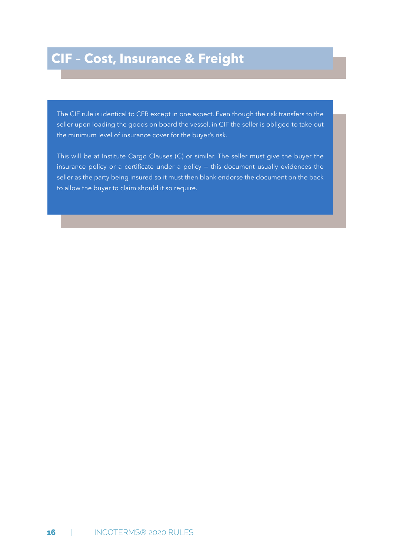## **CIF – Cost, Insurance & Freight**

The CIF rule is identical to CFR except in one aspect. Even though the risk transfers to the seller upon loading the goods on board the vessel, in CIF the seller is obliged to take out the minimum level of insurance cover for the buyer's risk.

This will be at Institute Cargo Clauses (C) or similar. The seller must give the buyer the insurance policy or a certificate under a policy  $-$  this document usually evidences the seller as the party being insured so it must then blank endorse the document on the back to allow the buyer to claim should it so require.